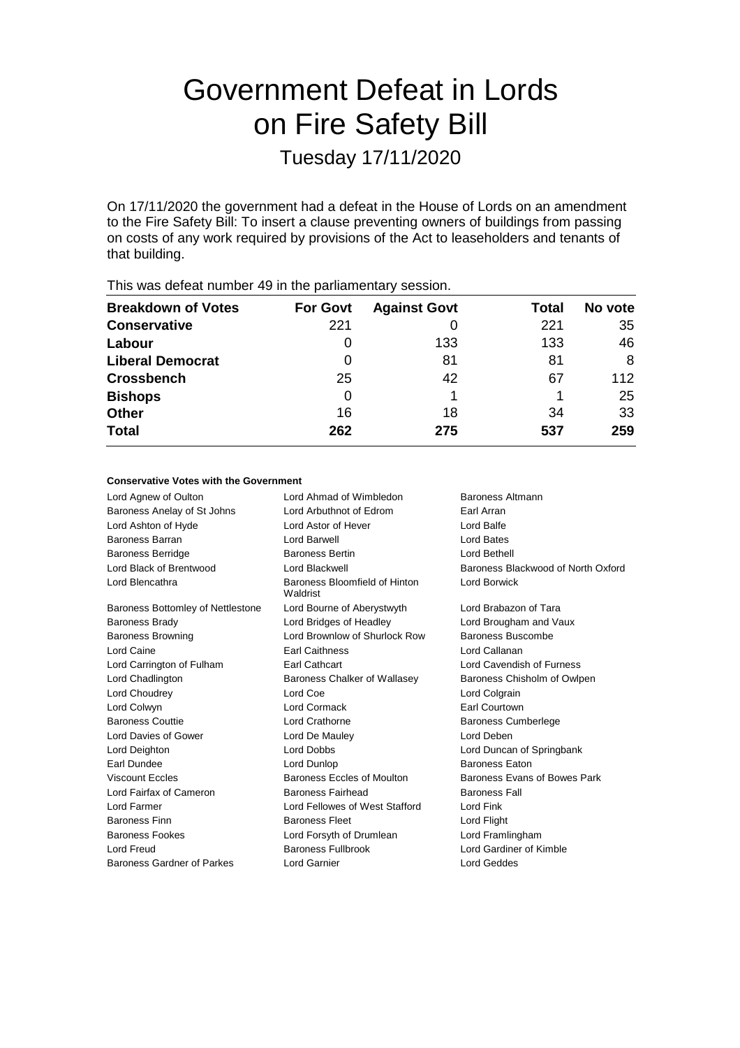# Government Defeat in Lords on Fire Safety Bill

Tuesday 17/11/2020

On 17/11/2020 the government had a defeat in the House of Lords on an amendment to the Fire Safety Bill: To insert a clause preventing owners of buildings from passing on costs of any work required by provisions of the Act to leaseholders and tenants of that building.

| <b>Breakdown of Votes</b> | <b>For Govt</b> | <b>Against Govt</b> | Total | No vote |  |
|---------------------------|-----------------|---------------------|-------|---------|--|
| <b>Conservative</b>       | 221             |                     | 221   | 35      |  |
| Labour                    | O               | 133                 | 133   | 46      |  |
| <b>Liberal Democrat</b>   | 0               | 81                  | 81    | 8       |  |
| <b>Crossbench</b>         | 25              | 42                  | 67    | 112     |  |
| <b>Bishops</b>            | 0               |                     |       | 25      |  |
| <b>Other</b>              | 16              | 18                  | 34    | 33      |  |
| <b>Total</b>              | 262             | 275                 | 537   | 259     |  |
|                           |                 |                     |       |         |  |

### This was defeat number 49 in the parliamentary session.

#### **Conservative Votes with the Government**

| Lord Agnew of Oulton              | Lord Ahmad of Wimbledon                   | Baroness Altmann                   |
|-----------------------------------|-------------------------------------------|------------------------------------|
| Baroness Anelay of St Johns       | Lord Arbuthnot of Edrom                   | Earl Arran                         |
| Lord Ashton of Hyde               | Lord Astor of Hever                       | Lord Balfe                         |
| Baroness Barran                   | Lord Barwell                              | Lord Bates                         |
| <b>Baroness Berridge</b>          | <b>Baroness Bertin</b>                    | Lord Bethell                       |
| Lord Black of Brentwood           | Lord Blackwell                            | Baroness Blackwood of North Oxford |
| Lord Blencathra                   | Baroness Bloomfield of Hinton<br>Waldrist | <b>Lord Borwick</b>                |
| Baroness Bottomley of Nettlestone | Lord Bourne of Aberystwyth                | Lord Brabazon of Tara              |
| <b>Baroness Brady</b>             | Lord Bridges of Headley                   | Lord Brougham and Vaux             |
| <b>Baroness Browning</b>          | Lord Brownlow of Shurlock Row             | Baroness Buscombe                  |
| Lord Caine                        | <b>Earl Caithness</b>                     | Lord Callanan                      |
| Lord Carrington of Fulham         | Earl Cathcart                             | Lord Cavendish of Furness          |
| Lord Chadlington                  | Baroness Chalker of Wallasey              | Baroness Chisholm of Owlpen        |
| Lord Choudrey                     | Lord Coe                                  | Lord Colgrain                      |
| Lord Colwyn                       | Lord Cormack                              | Earl Courtown                      |
| <b>Baroness Couttie</b>           | Lord Crathorne                            | <b>Baroness Cumberlege</b>         |
| Lord Davies of Gower              | Lord De Mauley                            | Lord Deben                         |
| Lord Deighton                     | Lord Dobbs                                | Lord Duncan of Springbank          |
| Earl Dundee                       | Lord Dunlop                               | <b>Baroness Eaton</b>              |
| <b>Viscount Eccles</b>            | Baroness Eccles of Moulton                | Baroness Evans of Bowes Park       |
| Lord Fairfax of Cameron           | Baroness Fairhead                         | <b>Baroness Fall</b>               |
| Lord Farmer                       | Lord Fellowes of West Stafford            | Lord Fink                          |
| <b>Baroness Finn</b>              | <b>Baroness Fleet</b>                     | Lord Flight                        |
| <b>Baroness Fookes</b>            | Lord Forsyth of Drumlean                  | Lord Framlingham                   |
| Lord Freud                        | Baroness Fullbrook                        | Lord Gardiner of Kimble            |
| Baroness Gardner of Parkes        | Lord Garnier                              | <b>Lord Geddes</b>                 |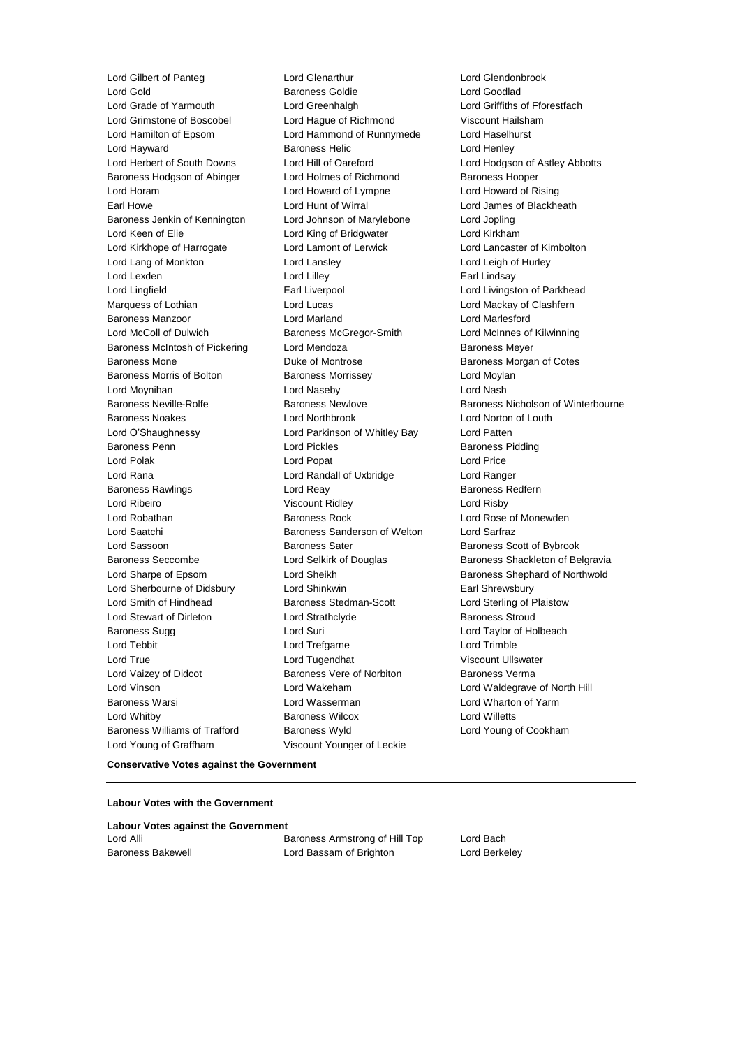Lord Gilbert of Panteg **Lord Glenarthur** Lord General Lord Glenarthur Lord Glendonbrook<br>
Lord Gold<br>
Lord Goodlad Lord Gold **Baroness** Goldie **Baroness** Goldie Lord Grade of Yarmouth Lord Greenhalgh Lord Griffiths of Fforestfach Lord Grimstone of Boscobel Lord Hague of Richmond Viscount Hailsham Lord Hamilton of Epsom Lord Hammond of Runnymede Lord Haselhurst Lord Hayward **Baroness Helic** Lord Henley<br>
Lord Herbert of South Downs Lord Hill of Oareford Lord Henley Lord Herbert of South Downs Lord Hill of Oareford Lord Hodgson of Astley Abbotts Baroness Hodgson of Abinger Lord Holmes of Richmond Baroness Hooper Lord Horam Lord Howard of Lympne Lord Howard of Rising Earl Howe Lord Hunt of Wirral Lord James of Blackheath Baroness Jenkin of Kennington Lord Johnson of Marylebone Lord Jopling Lord Keen of Elie **Lord King of Bridgwater** Lord Kirkham Lord Kirkhope of Harrogate Lord Lamont of Lerwick Lord Lancaster of Kimbolton Lord Lang of Monkton Lord Lansley Lord Leigh of Hurley Lord Lexden **Lord Lindsay** Lord Lilley **Communication** Lord Lilley **Earl Lindsay** Lord Lingfield **Earl Liverpool** Earl Liverpool **Lord Livingston of Parkhead** Marquess of Lothian **Lord Lord Lucas** Lord Lucas **Lord Mackay of Clashfern** Baroness Manzoor Lord Marland Lord Marlesford Lord McColl of Dulwich Baroness McGregor-Smith Lord McInnes of Kilwinning Baroness McIntosh of Pickering Lord Mendoza **Baroness Meyer** Baroness Meyer Baroness Mone Duke of Montrose Baroness Morgan of Cotes Baroness Morris of Bolton **Baroness Morrissey Lord Moylan** Lord Moynihan **Lord Lord Naseby** Lord Nash Baroness Neville-Rolfe **Baroness Newlove** Baroness Newlove **Baroness Nicholson of Winterbourne** Baroness Noakes Lord Northbrook Lord Norton of Louth Lord O'Shaughnessy Lord Parkinson of Whitley Bay Lord Patten Baroness Penn **Baroness Pidding** Lord Pickles **Baroness Pidding** Baroness Pidding Lord Polak **Lord Popat Lord Popat Construction** Lord Price Lord Rana Lord Randall of Uxbridge Lord Ranger Baroness Rawlings **Example 2** Lord Reay **Baroness Redfern** Lord Ribeiro Viscount Ridley Lord Risby Lord Robathan **Baroness Rock** Lord Rose of Monewden Lord Saatchi **Baroness Sanderson of Welton** Lord Sarfraz Lord Sassoon **Baroness Sater** Baroness Sater Baroness Scott of Bybrook Baroness Seccombe **Lord Selkirk of Douglas** Baroness Shackleton of Belgravia Lord Sharpe of Epsom Lord Sheikh Baroness Shephard of Northwold Lord Sherbourne of Didsbury Lord Shinkwin **Earl Shinkwin** Earl Shrewsbury Lord Smith of Hindhead **Baroness Stedman-Scott** Lord Sterling of Plaistow Lord Stewart of Dirleton Lord Strathclyde Baroness Stroud Baroness Sugg **Lord Suri** Lord Suri **Lord Taylor of Holbeach** Lord Tebbit Lord Trefgarne Lord Trimble Lord True Lord Tugendhat Viscount Ullswater Lord Vaizey of Didcot **Baroness Vere of Norbiton** Baroness Verma Lord Vinson Lord Wakeham Lord Waldegrave of North Hill Baroness Warsi Lord Wasserman Lord Wharton of Yarm Lord Whitby Baroness Wilcox Lord Willetts Baroness Williams of Trafford Baroness Wyld Lord Young of Cookham Lord Young of Graffham Viscount Younger of Leckie

**Conservative Votes against the Government**

#### **Labour Votes with the Government**

| <b>Labour Votes against the Government</b> |                                |               |
|--------------------------------------------|--------------------------------|---------------|
| Lord Alli                                  | Baroness Armstrong of Hill Top | Lord Bach     |
| <b>Baroness Bakewell</b>                   | Lord Bassam of Brighton        | Lord Berkeley |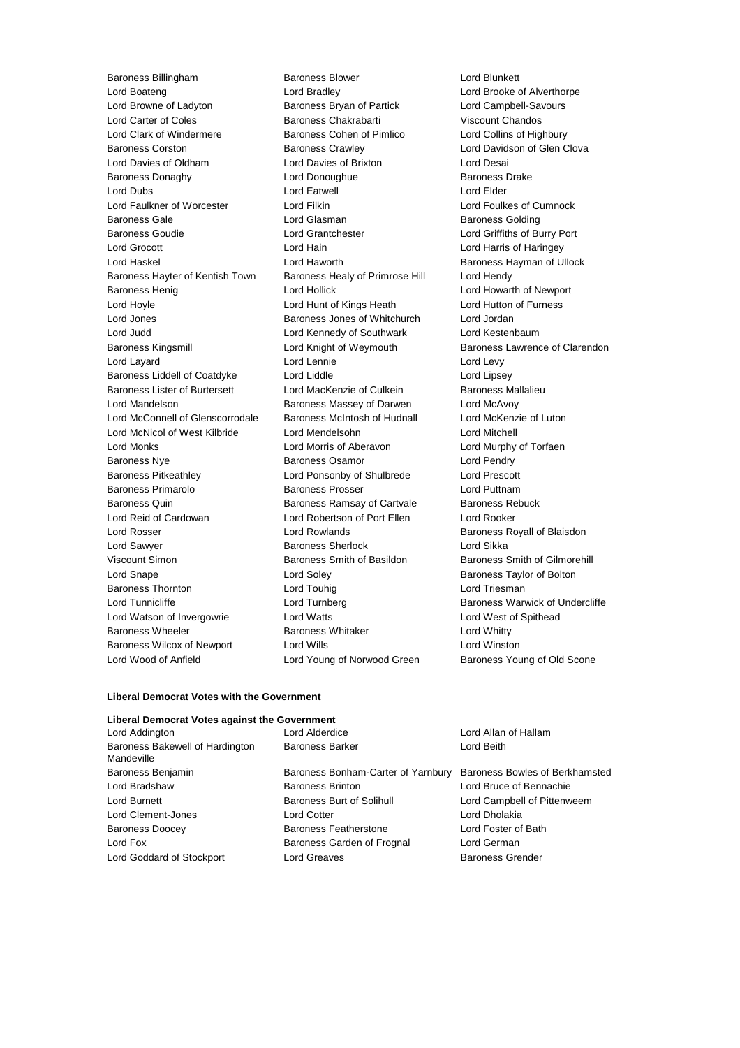Baroness Billingham Baroness Blower Lord Blunkett Lord Boateng Lord Bradley Lord Brooke of Alverthorpe Lord Browne of Ladyton Baroness Bryan of Partick Lord Campbell-Savours Lord Carter of Coles Baroness Chakrabarti Viscount Chandos Lord Clark of Windermere Baroness Cohen of Pimlico Lord Collins of Highbury Baroness Corston **Baroness Crawley Baroness Crawley** Lord Davidson of Glen Clova Lord Davies of Oldham Lord Davies of Brixton Lord Desai Baroness Donaghy **Lord Donoughue Baroness Drake** Baroness Drake Lord Dubs Lord Eatwell Lord Elder Lord Faulkner of Worcester Lord Filkin Lord Foulkes of Cumnock Baroness Gale **Lord Glasman** Baroness Golding **Baroness** Golding Baroness Goudie Lord Grantchester Lord Griffiths of Burry Port Lord Grocott **Lord Harris of Haringey** Lord Harris of Haringey Lord Haskel **Lord Haworth** Lord Haworth **Baroness Hayman of Ullock** Baroness Hayter of Kentish Town Baroness Healy of Primrose Hill Lord Hendy Baroness Henig **Lord Hollick** Lord Hollick Lord Howarth of Newport Lord Hoyle Lord Hunt of Kings Heath Lord Hutton of Furness Lord Jones Baroness Jones of Whitchurch Lord Jordan Lord Judd **Lord Kennedy of Southwark** Lord Kestenbaum Baroness Kingsmill Lord Knight of Weymouth Baroness Lawrence of Clarendon Lord Layard **Lord Lennie** Lord Lennie **Lord Levy** Baroness Liddell of Coatdyke Lord Liddle Lord Linesey Baroness Lister of Burtersett Lord MacKenzie of Culkein Baroness Mallalieu Lord Mandelson **Baroness Massey of Darwen** Lord McAvoy Lord McConnell of Glenscorrodale Baroness McIntosh of Hudnall Lord McKenzie of Luton Lord McNicol of West Kilbride Lord Mendelsohn Lord Mitchell Lord Monks Lord Morris of Aberavon Lord Murphy of Torfaen Baroness Nye **Baroness Osamor** Charoness Osamor Charoness Osamor Charoness Osamor Charoness Osamor Charoness Osamor Baroness Pitkeathley Lord Ponsonby of Shulbrede Lord Prescott Baroness Primarolo **Baroness Prosser Baroness Prosser** Lord Puttnam Baroness Quin **Baroness Ramsay of Cartvale** Baroness Rebuck Lord Reid of Cardowan Lord Robertson of Port Ellen Lord Rooker Lord Rosser Lord Rowlands Baroness Royall of Blaisdon Lord Sawyer Baroness Sherlock Lord Sikka Viscount Simon **Baroness Smith of Basildon** Baroness Smith of Gilmorehill Lord Snape Lord Soley Baroness Taylor of Bolton Baroness Thornton **Lord Touhig Lord Triesman** Lord Triesman Lord Tunnicliffe **Lord Turnberg Community** Baroness Warwick of Undercliffe Lord Watson of Invergowrie Lord Watts Lord West of Spithead Baroness Wheeler **Baroness Whitaker** Lord Whitty Baroness Wilcox of Newport Lord Wills Lord Winston Lord Wood of Anfield Lord Young of Norwood Green Baroness Young of Old Scone

#### **Liberal Democrat Votes with the Government**

#### **Liberal Democrat Votes against the Government**

| Lord Addington                                | Lord Alderdice                     | Lord Allan of Hallam           |
|-----------------------------------------------|------------------------------------|--------------------------------|
| Baroness Bakewell of Hardington<br>Mandeville | <b>Baroness Barker</b>             | Lord Beith                     |
| Baroness Benjamin                             | Baroness Bonham-Carter of Yarnbury | Baroness Bowles of Berkhamsted |
| Lord Bradshaw                                 | <b>Baroness Brinton</b>            | Lord Bruce of Bennachie        |
| Lord Burnett                                  | Baroness Burt of Solihull          | Lord Campbell of Pittenweem    |
| Lord Clement-Jones                            | Lord Cotter                        | Lord Dholakia                  |
| <b>Baroness Doocey</b>                        | <b>Baroness Featherstone</b>       | Lord Foster of Bath            |
| Lord Fox                                      | Baroness Garden of Frognal         | Lord German                    |
| Lord Goddard of Stockport                     | Lord Greaves                       | <b>Baroness Grender</b>        |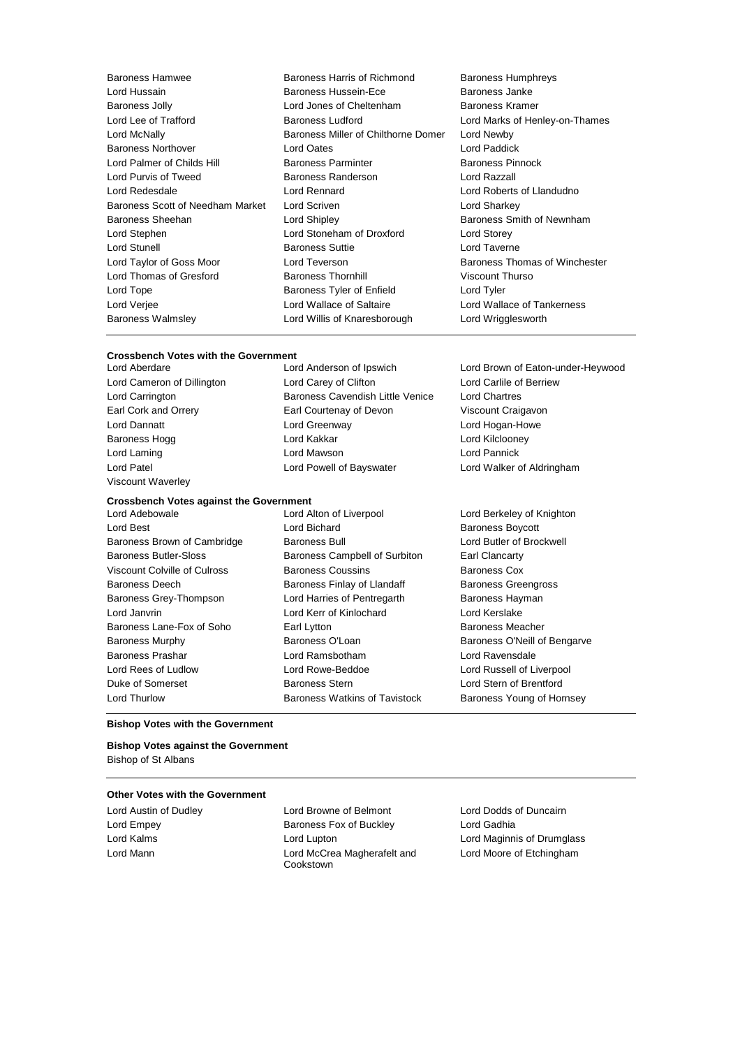Lord Hussain Baroness Hussein-Ece Baroness Janke Baroness Jolly Lord Jones of Cheltenham Baroness Kramer Lord Lee of Trafford **Baroness Ludford** Lord Marks of Henley-on-Thames Lord McNally Baroness Miller of Chilthorne Domer Lord Newby Baroness Northover **Lord Cates** Lord Oates **Lord Paddick**<br>
Lord Palmer of Childs Hill **Baroness Parminter** Baroness Pin Lord Palmer of Childs Hill Baroness Parminter Baroness Parminter Baroness Pinnock Lord Purvis of Tweed Baroness Randerson Lord Razzall Lord Redesdale Lord Rennard Lord Roberts of Llandudno Baroness Scott of Needham Market Lord Scriven Lord Charless Scott of Needham Market Lord Scriven Baroness Sheehan **Lord Shipley Baroness Smith of Newnham** Lord Stephen Lord Stoneham of Droxford Lord Storey Lord Stunell **Baroness Suttie Lord Taverne** Lord Taylor of Goss Moor **Lord Teverson** Baroness Thomas of Winchester Lord Thomas of Gresford Baroness Thornhill Viscount Thurso Lord Tope **Baroness Tyler of Enfield** Lord Tyler Lord Tyler Lord Verjee Lord Wallace of Saltaire Lord Wallace of Tankerness Baroness Walmsley Lord Willis of Knaresborough Lord Wrigglesworth

Baroness Hamwee Baroness Harris of Richmond Baroness Humphreys

## **Crossbench Votes with the Government**

Viscount Waverley

## **Crossbench Votes against the Government**

Lord Cameron of Dillington Lord Carey of Clifton Lord Carlile of Berriew Lord Carrington Baroness Cavendish Little Venice Lord Chartres Earl Cork and Orrery Earl Courtenay of Devon Viscount Craigavon Lord Dannatt Lord Greenway Lord Hogan-Howe Baroness Hogg **Lord Kakkar** Lord Kakkar **Lord Kilclooney** Lord Laming Lord Mawson Lord Pannick Lord Patel Lord Powell of Bayswater Lord Walker of Aldringham

Lord Best **Lord Bichard Baroness Boycott Baroness Boycott** Baroness Brown of Cambridge Baroness Bull Baroness Bull Lord Butler of Brockwell Baroness Butler-Sloss Baroness Campbell of Surbiton Earl Clancarty Viscount Colville of Culross **Baroness Coussins** Baroness Cox Baroness Deech Baroness Finlay of Llandaff Baroness Greengross Baroness Grey-Thompson **Lord Harries of Pentregarth** Baroness Hayman Lord Janvrin Lord Kerr of Kinlochard Lord Kerslake Baroness Lane-Fox of Soho Earl Lytton Baroness Meacher Baroness Murphy **Baroness O'Loan** Baroness O'Loan **Baroness O'Neill of Bengarve** Baroness Prashar Lord Ramsbotham Lord Ravensdale Lord Rees of Ludlow Lord Rowe-Beddoe Lord Russell of Liverpool Duke of Somerset **Baroness Stern Communist Communist Communist Communist Communist Communist Communist Communist Communist Communist Communist Communist Communist Communist Communist Communist Communist Communist Communist** Lord Thurlow **Baroness Watkins of Tavistock** Baroness Young of Hornsey

Lord Brown of Eaton-under-Heywood

Lord Berkeley of Knighton

#### **Bishop Votes with the Government**

**Bishop Votes against the Government** Bishop of St Albans

#### **Other Votes with the Government**

Lord Austin of Dudley Lord Browne of Belmont Lord Dodds of Duncairn Lord Empey Baroness Fox of Buckley Lord Gadhia Lord Kalms Lord Lupton Lord Maginnis of Drumglass Lord Mann Lord McCrea Magherafelt and **Cookstown** 

Lord Moore of Etchingham